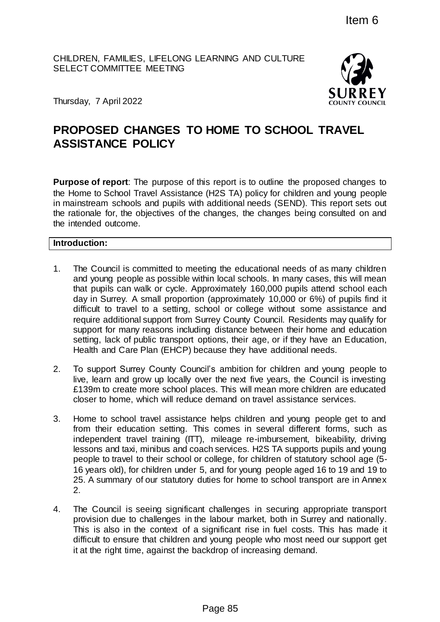CHILDREN, FAMILIES, LIFELONG LEARNING AND CULTURE SELECT COMMITTEE MEETING



Thursday, 7 April 2022

# **PROPOSED CHANGES TO HOME TO SCHOOL TRAVEL ASSISTANCE POLICY**

**Purpose of report**: The purpose of this report is to outline the proposed changes to the Home to School Travel Assistance (H2S TA) policy for children and young people in mainstream schools and pupils with additional needs (SEND). This report sets out the rationale for, the objectives of the changes, the changes being consulted on and the intended outcome.

**Introduction:**

- 1. The Council is committed to meeting the educational needs of as many children and young people as possible within local schools. In many cases, this will mean that pupils can walk or cycle. Approximately 160,000 pupils attend school each day in Surrey. A small proportion (approximately 10,000 or 6%) of pupils find it difficult to travel to a setting, school or college without some assistance and require additional support from Surrey County Council. Residents may qualify for support for many reasons including distance between their home and education setting, lack of public transport options, their age, or if they have an Education, Health and Care Plan (EHCP) because they have additional needs. Item 6<br>
EARNING AND CULTURE<br>
SURRE<br>
SURRE<br>
SURRE<br>
HOME TO SCHOOL TRAVEL<br>
Insertigated and the proposed changes<br>
interest in policy for children and young people<br>
(H2STA) policy for children and young people<br>
and ditional n
- 2. To support Surrey County Council's ambition for children and young people to live, learn and grow up locally over the next five years, the Council is investing £139m to create more school places. This will mean more children are educated closer to home, which will reduce demand on travel assistance services.
- 3. Home to school travel assistance helps children and young people get to and from their education setting. This comes in several different forms, such as independent travel training (ITT), mileage re-imbursement, bikeability, driving lessons and taxi, minibus and coach services. H2S TA supports pupils and young people to travel to their school or college, for children of statutory school age (5- 16 years old), for children under 5, and for young people aged 16 to 19 and 19 to 25. A summary of our statutory duties for home to school transport are in Annex 2.
- 4. The Council is seeing significant challenges in securing appropriate transport provision due to challenges in the labour market, both in Surrey and nationally. This is also in the context of a significant rise in fuel costs. This has made it difficult to ensure that children and young people who most need our support get it at the right time, against the backdrop of increasing demand.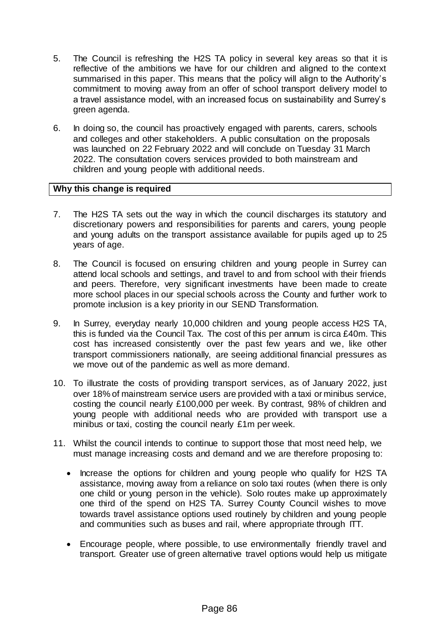- 5. The Council is refreshing the H2S TA policy in several key areas so that it is reflective of the ambitions we have for our children and aligned to the context summarised in this paper. This means that the policy will align to the Authority's commitment to moving away from an offer of school transport delivery model to a travel assistance model, with an increased focus on sustainability and Surrey's green agenda.
- 6. In doing so, the council has proactively engaged with parents, carers, schools and colleges and other stakeholders. A public consultation on the proposals was launched on 22 February 2022 and will conclude on Tuesday 31 March 2022. The consultation covers services provided to both mainstream and children and young people with additional needs.

## **Why this change is required**

- 7. The H2S TA sets out the way in which the council discharges its statutory and discretionary powers and responsibilities for parents and carers, young people and young adults on the transport assistance available for pupils aged up to 25 years of age.
- 8. The Council is focused on ensuring children and young people in Surrey can attend local schools and settings, and travel to and from school with their friends and peers. Therefore, very significant investments have been made to create more school places in our special schools across the County and further work to promote inclusion is a key priority in our SEND Transformation.
- 9. In Surrey, everyday nearly 10,000 children and young people access H2S TA, this is funded via the Council Tax. The cost of this per annum is circa £40m. This cost has increased consistently over the past few years and we, like other transport commissioners nationally, are seeing additional financial pressures as we move out of the pandemic as well as more demand.
- 10. To illustrate the costs of providing transport services, as of January 2022, just over 18% of mainstream service users are provided with a taxi or minibus service, costing the council nearly £100,000 per week. By contrast, 98% of children and young people with additional needs who are provided with transport use a minibus or taxi, costing the council nearly £1m per week.
- 11. Whilst the council intends to continue to support those that most need help, we must manage increasing costs and demand and we are therefore proposing to:
	- Increase the options for children and young people who qualify for H2S TA assistance, moving away from a reliance on solo taxi routes (when there is only one child or young person in the vehicle). Solo routes make up approximately one third of the spend on H2S TA. Surrey County Council wishes to move towards travel assistance options used routinely by children and young people and communities such as buses and rail, where appropriate through ITT.
	- Encourage people, where possible, to use environmentally friendly travel and transport. Greater use of green alternative travel options would help us mitigate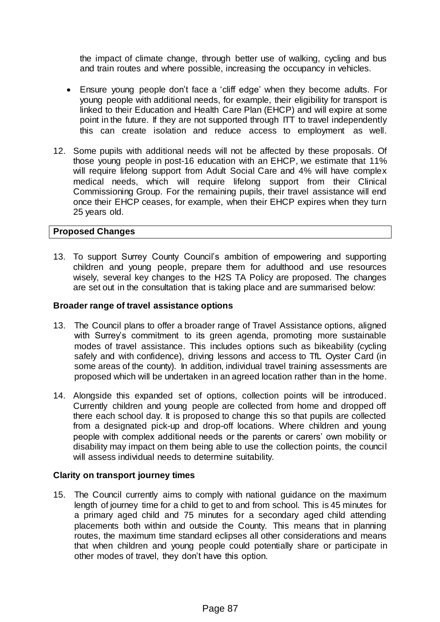the impact of climate change, through better use of walking, cycling and bus and train routes and where possible, increasing the occupancy in vehicles.

- Ensure young people don't face a 'cliff edge' when they become adults. For young people with additional needs, for example, their eligibility for transport is linked to their Education and Health Care Plan (EHCP) and will expire at some point in the future. If they are not supported through ITT to travel independently this can create isolation and reduce access to employment as well.
- 12. Some pupils with additional needs will not be affected by these proposals. Of those young people in post-16 education with an EHCP, we estimate that 11% will require lifelong support from Adult Social Care and 4% will have complex medical needs, which will require lifelong support from their Clinical Commissioning Group. For the remaining pupils, their travel assistance will end once their EHCP ceases, for example, when their EHCP expires when they turn 25 years old.

## **Proposed Changes**

13. To support Surrey County Council's ambition of empowering and supporting children and young people, prepare them for adulthood and use resources wisely, several key changes to the H2S TA Policy are proposed. The changes are set out in the consultation that is taking place and are summarised below:

## **Broader range of travel assistance options**

- 13. The Council plans to offer a broader range of Travel Assistance options, aligned with Surrey's commitment to its green agenda, promoting more sustainable modes of travel assistance. This includes options such as bikeability (cycling safely and with confidence), driving lessons and access to TfL Oyster Card (in some areas of the county). In addition, individual travel training assessments are proposed which will be undertaken in an agreed location rather than in the home.
- 14. Alongside this expanded set of options, collection points will be introduced. Currently children and young people are collected from home and dropped off there each school day. It is proposed to change this so that pupils are collected from a designated pick-up and drop-off locations. Where children and young people with complex additional needs or the parents or carers' own mobility or disability may impact on them being able to use the collection points, the council will assess individual needs to determine suitability.

## **Clarity on transport journey times**

15. The Council currently aims to comply with national guidance on the maximum length of journey time for a child to get to and from school. This is 45 minutes for a primary aged child and 75 minutes for a secondary aged child attending placements both within and outside the County. This means that in planning routes, the maximum time standard eclipses all other considerations and means that when children and young people could potentially share or participate in other modes of travel, they don't have this option.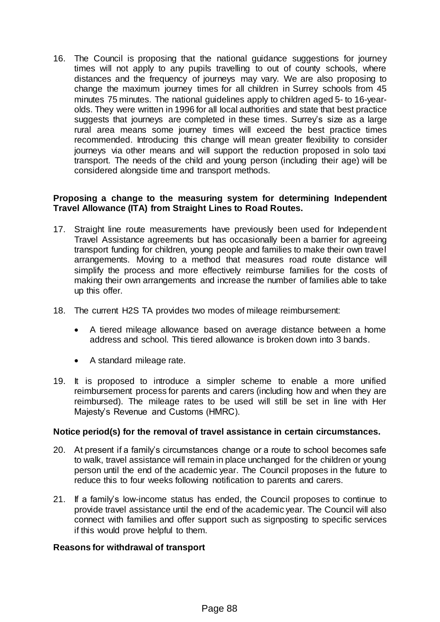16. The Council is proposing that the national guidance suggestions for journey times will not apply to any pupils travelling to out of county schools, where distances and the frequency of journeys may vary. We are also proposing to change the maximum journey times for all children in Surrey schools from 45 minutes 75 minutes. The national guidelines apply to children aged 5- to 16-yearolds. They were written in 1996 for all local authorities and state that best practice suggests that journeys are completed in these times. Surrey's size as a large rural area means some journey times will exceed the best practice times recommended. Introducing this change will mean greater flexibility to consider journeys via other means and will support the reduction proposed in solo taxi transport. The needs of the child and young person (including their age) will be considered alongside time and transport methods.

## **Proposing a change to the measuring system for determining Independent Travel Allowance (ITA) from Straight Lines to Road Routes.**

- 17. Straight line route measurements have previously been used for Independent Travel Assistance agreements but has occasionally been a barrier for agreeing transport funding for children, young people and families to make their own travel arrangements. Moving to a method that measures road route distance will simplify the process and more effectively reimburse families for the costs of making their own arrangements and increase the number of families able to take up this offer.
- 18. The current H2S TA provides two modes of mileage reimbursement:
	- A tiered mileage allowance based on average distance between a home address and school. This tiered allowance is broken down into 3 bands.
	- A standard mileage rate.
- 19. It is proposed to introduce a simpler scheme to enable a more unified reimbursement process for parents and carers (including how and when they are reimbursed). The mileage rates to be used will still be set in line with Her Majesty's Revenue and Customs (HMRC).

## **Notice period(s) for the removal of travel assistance in certain circumstances.**

- 20. At present if a family's circumstances change or a route to school becomes safe to walk, travel assistance will remain in place unchanged for the children or young person until the end of the academic year. The Council proposes in the future to reduce this to four weeks following notification to parents and carers.
- 21. If a family's low-income status has ended, the Council proposes to continue to provide travel assistance until the end of the academic year. The Council will also connect with families and offer support such as signposting to specific services if this would prove helpful to them.

## **Reasons for withdrawal of transport**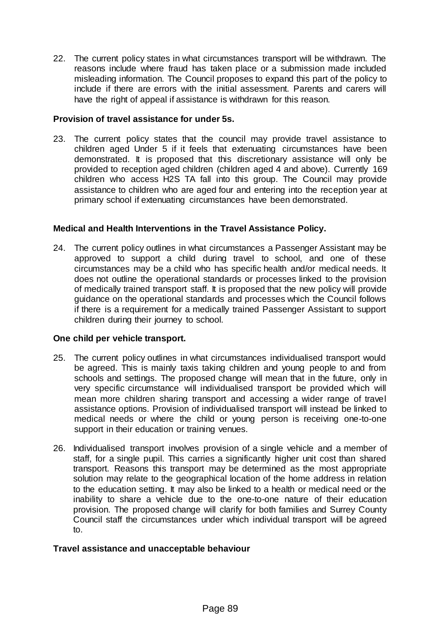22. The current policy states in what circumstances transport will be withdrawn. The reasons include where fraud has taken place or a submission made included misleading information. The Council proposes to expand this part of the policy to include if there are errors with the initial assessment. Parents and carers will have the right of appeal if assistance is withdrawn for this reason.

## **Provision of travel assistance for under 5s.**

23. The current policy states that the council may provide travel assistance to children aged Under 5 if it feels that extenuating circumstances have been demonstrated. It is proposed that this discretionary assistance will only be provided to reception aged children (children aged 4 and above). Currently 169 children who access H2S TA fall into this group. The Council may provide assistance to children who are aged four and entering into the reception year at primary school if extenuating circumstances have been demonstrated.

## **Medical and Health Interventions in the Travel Assistance Policy.**

24. The current policy outlines in what circumstances a Passenger Assistant may be approved to support a child during travel to school, and one of these circumstances may be a child who has specific health and/or medical needs. It does not outline the operational standards or processes linked to the provision of medically trained transport staff. It is proposed that the new policy will provide guidance on the operational standards and processes which the Council follows if there is a requirement for a medically trained Passenger Assistant to support children during their journey to school.

## **One child per vehicle transport.**

- 25. The current policy outlines in what circumstances individualised transport would be agreed. This is mainly taxis taking children and young people to and from schools and settings. The proposed change will mean that in the future, only in very specific circumstance will individualised transport be provided which will mean more children sharing transport and accessing a wider range of travel assistance options. Provision of individualised transport will instead be linked to medical needs or where the child or young person is receiving one-to-one support in their education or training venues.
- 26. Individualised transport involves provision of a single vehicle and a member of staff, for a single pupil. This carries a significantly higher unit cost than shared transport. Reasons this transport may be determined as the most appropriate solution may relate to the geographical location of the home address in relation to the education setting. It may also be linked to a health or medical need or the inability to share a vehicle due to the one-to-one nature of their education provision. The proposed change will clarify for both families and Surrey County Council staff the circumstances under which individual transport will be agreed to.

## **Travel assistance and unacceptable behaviour**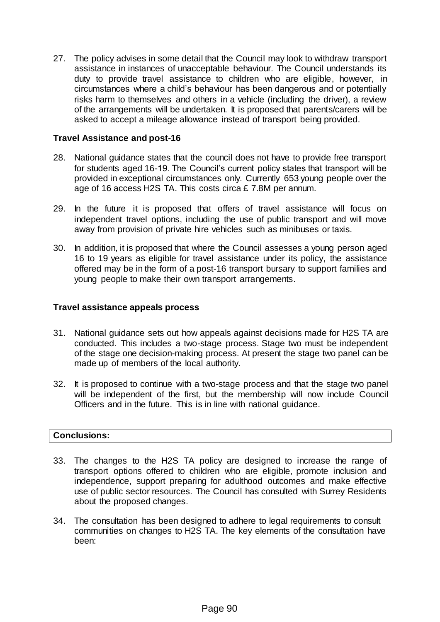27. The policy advises in some detail that the Council may look to withdraw transport assistance in instances of unacceptable behaviour. The Council understands its duty to provide travel assistance to children who are eligible, however, in circumstances where a child's behaviour has been dangerous and or potentially risks harm to themselves and others in a vehicle (including the driver), a review of the arrangements will be undertaken. It is proposed that parents/carers will be asked to accept a mileage allowance instead of transport being provided.

## **Travel Assistance and post-16**

- 28. National guidance states that the council does not have to provide free transport for students aged 16-19. The Council's current policy states that transport will be provided in exceptional circumstances only. Currently 653 young people over the age of 16 access H2S TA. This costs circa £ 7.8M per annum.
- 29. In the future it is proposed that offers of travel assistance will focus on independent travel options, including the use of public transport and will move away from provision of private hire vehicles such as minibuses or taxis.
- 30. In addition, it is proposed that where the Council assesses a young person aged 16 to 19 years as eligible for travel assistance under its policy, the assistance offered may be in the form of a post-16 transport bursary to support families and young people to make their own transport arrangements.

## **Travel assistance appeals process**

- 31. National guidance sets out how appeals against decisions made for H2S TA are conducted. This includes a two-stage process. Stage two must be independent of the stage one decision-making process. At present the stage two panel can be made up of members of the local authority.
- 32. It is proposed to continue with a two-stage process and that the stage two panel will be independent of the first, but the membership will now include Council Officers and in the future. This is in line with national guidance.

## **Conclusions:**

- 33. The changes to the H2S TA policy are designed to increase the range of transport options offered to children who are eligible, promote inclusion and independence, support preparing for adulthood outcomes and make effective use of public sector resources. The Council has consulted with Surrey Residents about the proposed changes.
- 34. The consultation has been designed to adhere to legal requirements to consult communities on changes to H2S TA. The key elements of the consultation have been: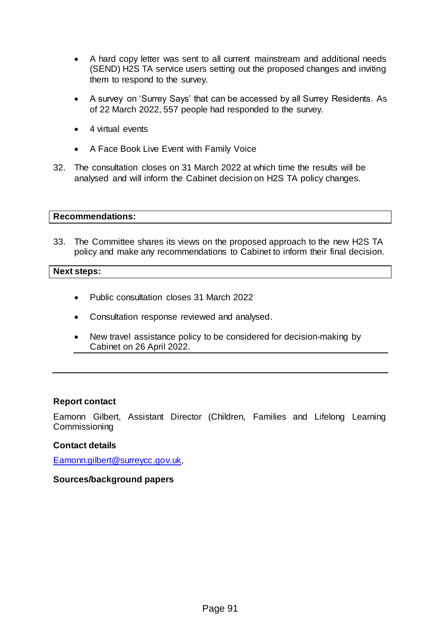- A hard copy letter was sent to all current mainstream and additional needs (SEND) H2S TA service users setting out the proposed changes and inviting them to respond to the survey.
- A survey on 'Surrey Says' that can be accessed by all Surrey Residents. As of 22 March 2022, 557 people had responded to the survey.
- 4 virtual events
- A Face Book Live Event with Family Voice
- 32. The consultation closes on 31 March 2022 at which time the results will be analysed and will inform the Cabinet decision on H2S TA policy changes.

## **Recommendations:**

33. The Committee shares its views on the proposed approach to the new H2S TA policy and make any recommendations to Cabinet to inform their final decision.

## **Next steps:**

- Public consultation closes 31 March 2022
- Consultation response reviewed and analysed.
- New travel assistance policy to be considered for decision-making by Cabinet on 26 April 2022.

## **Report contact**

Eamonn Gilbert, Assistant Director (Children, Families and Lifelong Learning **Commissioning** 

## **Contact details**

[Eamonn.gilbert@surreycc.gov.uk,](mailto:Eamonn.gilbert@surreycc.gov.uk) 

## **Sources/background papers**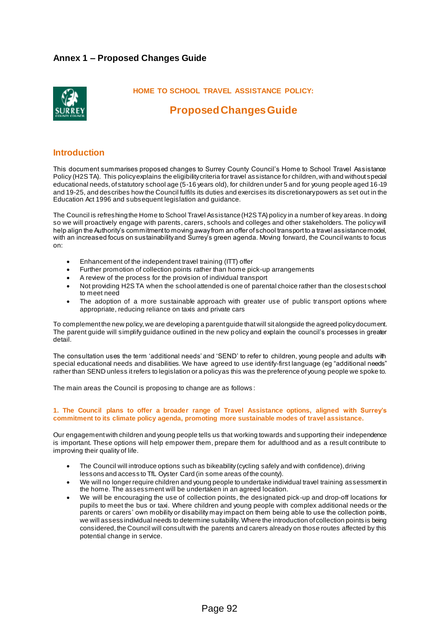## **Annex 1 – Proposed Changes Guide**



 **HOME TO SCHOOL TRAVEL ASSISTANCE POLICY:** 

## **Proposed Changes Guide**

### **Introduction**

This document summarises proposed changes to Surrey County Council's Home to School Travel Assistance Policy (H2S TA). This policy explains the eligibility criteria for travel assistance for children, with and without special educational needs, of statutory school age (5-16 years old), for children under 5 and for young people aged 16-19 and 19-25, and describes how the Council fulfils its duties and exercises its discretionary powers as set out in the Education Act 1996 and subsequent legislation and guidance.

The Council is refreshing the Home to School Travel Assistance (H2S TA) policy in a number of key areas. In doing so we will proactively engage with parents, carers, schools and colleges and other stakeholders. The policy will help align the Authority's commitment to moving away from an offer of school transport to a travel assistance model, with an increased focus on sustainability and Surrey's green agenda. Moving forward, the Council wants to focus on:

- Enhancement of the independent travel training (ITT) offer
- Further promotion of collection points rather than home pick-up arrangements
- A review of the process for the provision of individual transport
- Not providing H2S TA when the school attended is one of parental choice rather than the closest school to meet need
- The adoption of a more sustainable approach with greater use of public transport options where appropriate, reducing reliance on taxis and private cars

To complement the new policy, we are developing a parent guide that will sit alongside the agreed policy document. The parent guide will simplify guidance outlined in the new policy and explain the council's processes in greater detail.

The consultation uses the term 'additional needs' and 'SEND' to refer to children, young people and adults with special educational needs and disabilities. We have agreed to use identify-first language (eg "additional needs" rather than SEND unless it refers to legislation or a policy as this was the preference of young people we spoke to.

The main areas the Council is proposing to change are as follows :

### **1. The Council plans to offer a broader range of Travel Assistance options, aligned with Surrey's commitment to its climate policy agenda, promoting more sustainable modes of travel assistance.**

Our engagement with children and young people tells us that working towards and supporting their independence is important. These options will help empower them, prepare them for adulthood and as a result contribute to improving their quality of life.

- The Council will introduce options such as bikeability (cycling safely and with confidence), driving lessons and access to TfL Oyster Card (in some areas of the county).
- We will no longer require children and young people to undertake individual travel training assessment in the home. The assessment will be undertaken in an agreed location.
- We will be encouraging the use of collection points, the designated pick-up and drop-off locations for pupils to meet the bus or taxi. Where children and young people with complex additional needs or the parents or carers' own mobility or disability may impact on them being able to use the collection points, we will assess individual needs to determine suitability.Where the introduction of collection points is being considered, the Council will consult with the parents and carers already on those routes affected by this potential change in service.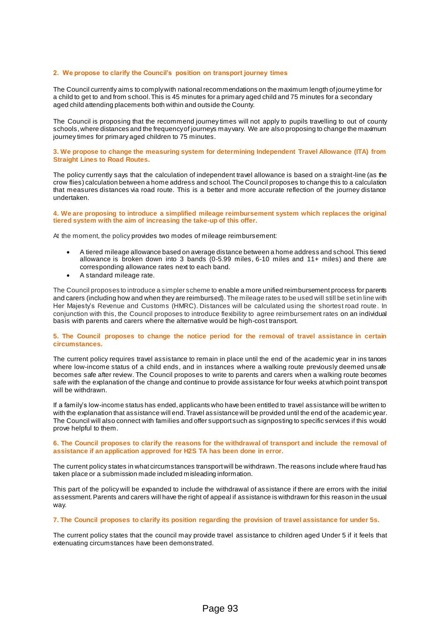### **2. We propose to clarify the Council's position on transport journey times**

The Council currently aims to comply with national recommendations on the maximum length of journey time for a child to get to and from school. This is 45 minutes for a primary aged child and 75 minutes for a secondary aged child attending placements both within and outside the County.

The Council is proposing that the recommend journey times will not apply to pupils travelling to out of county schools, where distances and the frequency of journeys may vary. We are also proposing to change the maximum journey times for primary aged children to 75 minutes.

### **3. We propose to change the measuring system for determining Independent Travel Allowance (ITA) from Straight Lines to Road Routes.**

The policy currently says that the calculation of independent travel allowance is based on a straight-line (as the crow flies) calculation between a home address and school. The Council proposes to change this to a calculation that measures distances via road route. This is a better and more accurate reflection of the journey distance undertaken.

#### **4. We are proposing to introduce a simplified mileage reimbursement system which replaces the original tiered system with the aim of increasing the take-up of this offer.**

At the moment, the policy provides two modes of mileage reimbursement:

- A tiered mileage allowance based on average distance between a home address and school. This tiered allowance is broken down into 3 bands (0-5.99 miles, 6-10 miles and 11+ miles) and there are corresponding allowance rates next to each band.
- A standard mileage rate.

The Council proposes to introduce a simpler scheme to enable a more unified reimbursement process for parents and carers (including how and when they are reimbursed). The mileage rates to be used will still be set in line with Her Majesty's Revenue and Customs (HMRC). Distances will be calculated using the shortest road route. In conjunction with this, the Council proposes to introduce flexibility to agree reimbursement rates on an individual basis with parents and carers where the alternative would be high-cost transport.

### **5. The Council proposes to change the notice period for the removal of travel assistance in certain circumstances.**

The current policy requires travel assistance to remain in place until the end of the academic year in ins tances where low-income status of a child ends, and in instances where a walking route previously deemed unsafe becomes safe after review. The Council proposes to write to parents and carers when a walking route becomes safe with the explanation of the change and continue to provide assistance for four weeks at which point transport will be withdrawn.

If a family's low-income status has ended, applicants who have been entitled to travel assistance will be written to with the explanation that assistance will end. Travel assistance will be provided until the end of the academic year. The Council will also connect with families and offer support such as signposting to specific services if this would prove helpful to them.

### **6. The Council proposes to clarify the reasons for the withdrawal of transport and include the removal of assistance if an application approved for H2S TA has been done in error.**

The current policy states in what circumstances transport will be withdrawn. The reasons include where fraud has taken place or a submission made included misleading information.

This part of the policy will be expanded to include the withdrawal of assistance if there are errors with the initial assessment. Parents and carers will have the right of appeal if assistance is withdrawn for this reason in the usual way.

### **7. The Council proposes to clarify its position regarding the provision of travel assistance for under 5s.**

The current policy states that the council may provide travel assistance to children aged Under 5 if it feels that extenuating circumstances have been demonstrated.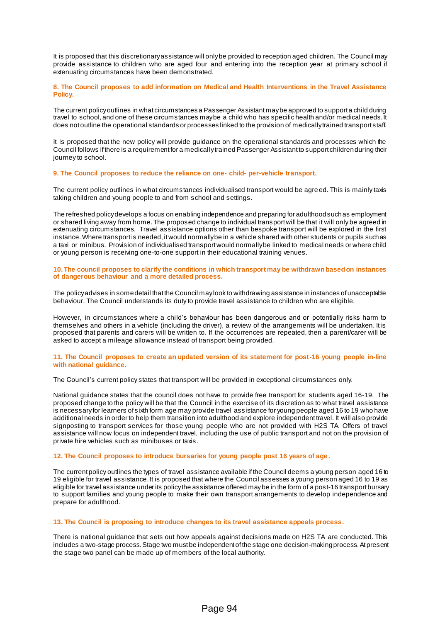It is proposed that this discretionary assistance will only be provided to reception aged children. The Council may provide assistance to children who are aged four and entering into the reception year at primary school if extenuating circumstances have been demonstrated.

### **8. The Council proposes to add information on Medical and Health Interventions in the Travel Assistance Policy.**

The current policy outlines in what circumstances a Passenger Assistant may be approved to support a child during travel to school, and one of these circumstances may be a child who has specific health and/or medical needs. It does not outline the operational standards or processes linked to the provision of medically trained transport staff.

It is proposed that the new policy will provide guidance on the operational standards and processes which the Council follows if there is a requirement for a medically trained Passenger Assistant to support children during their journey to school.

### **9. The Council proposes to reduce the reliance on one- child- per-vehicle transport.**

The current policy outlines in what circumstances individualised transport would be agre ed. This is mainly taxis taking children and young people to and from school and settings.

The refreshed policy develops a focus on enabling independence and preparing for adulthood such as employment or shared living away from home. The proposed change to individual transport will be that it will only be agreed in extenuating circumstances. Travel assistance options other than bespoke transport will be explored in the first instance. Where transport is needed, it would normally be in a vehicle shared with other students or pupils such as a taxi or minibus. Provision of individualised transport would normally be linked to medical needs or where child or young person is receiving one-to-one support in their educational training venues.

### **10. The council proposes to clarify the conditions in which transport may be withdrawn based on instances of dangerous behaviour and a more detailed process.**

The policy advises in some detail that the Council may look to withdrawing assistance in instances of unacceptable behaviour. The Council understands its duty to provide travel assistance to children who are eligible.

However, in circumstances where a child's behaviour has been dangerous and or potentially risks harm to themselves and others in a vehicle (including the driver), a review of the arrangements will be undertaken. It is proposed that parents and carers will be written to. If the occurrences are repeated, then a parent/carer will be asked to accept a mileage allowance instead of transport being provided.

### **11. The Council proposes to create an updated version of its statement for post-16 young people in-line with national guidance.**

The Council's current policy states that transport will be provided in exceptional circumstances only.

National guidance states that the council does not have to provide free transport for students aged 16-19. The proposed change to the policy will be that the Council in the exercise of its discretion as to what travel assistance is necessary for learners of sixth form age may provide travel assistance for young people aged 16 to 19 who have additional needs in order to help them transition into adulthood and explore independent travel. It will also provide signposting to transport services for those young people who are not provided with H2S TA. Offers of travel assistance will now focus on independent travel, including the use of public transport and not on the provision of private hire vehicles such as minibuses or taxis.

### **12. The Council proposes to introduce bursaries for young people post 16 years of age.**

The current policy outlines the types of travel assistance available if the Council deems a young person aged 16 to 19 eligible for travel assistance. It is proposed that where the Council assesses a young person aged 16 to 19 as eligible for travel assistance under its policy the assistance offered may be in the form of a post-16 transport bursary to support families and young people to make their own transport arrangements to develop independence and prepare for adulthood.

### **13. The Council is proposing to introduce changes to its travel assistance appeals process.**

There is national guidance that sets out how appeals against decisions made on H2S TA are conducted. This includes a two-stage process. Stage two must be independent of the stage one decision-making process. At present the stage two panel can be made up of members of the local authority.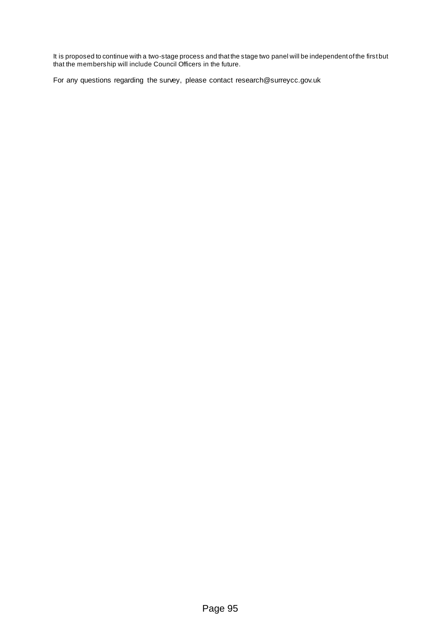It is proposed to continue with a two-stage process and that the stage two panel will be independent of the first but that the membership will include Council Officers in the future.

For any questions regarding the survey, please contact [research@surreycc.gov.uk](mailto:research@surreycc.gov.uk)